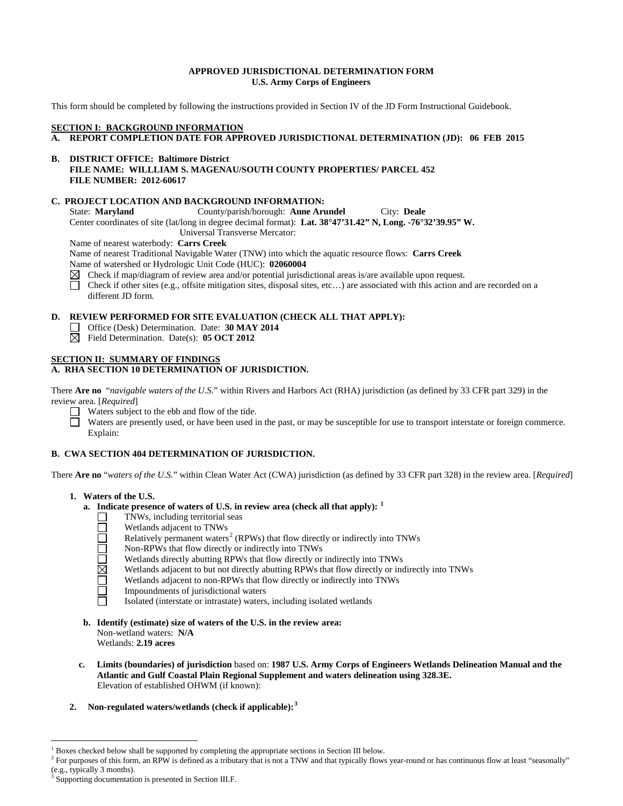### **APPROVED JURISDICTIONAL DETERMINATION FORM U.S. Army Corps of Engineers**

This form should be completed by following the instructions provided in Section IV of the JD Form Instructional Guidebook.

### **SECTION I: BACKGROUND INFORMATION**

**A. REPORT COMPLETION DATE FOR APPROVED JURISDICTIONAL DETERMINATION (JD): 06 FEB 2015**

### **B. DISTRICT OFFICE: Baltimore District FILE NAME: WILLLIAM S. MAGENAU/SOUTH COUNTY PROPERTIES/ PARCEL 452 FILE NUMBER: 2012-60617**

## **C. PROJECT LOCATION AND BACKGROUND INFORMATION:**

State: **Maryland** County/parish/borough: **Anne Arundel** City: **Deale** Center coordinates of site (lat/long in degree decimal format): **Lat. 38°47'31.42" N, Long. -76°32'39.95" W.**

Universal Transverse Mercator:

Name of nearest waterbody: **Carrs Creek**

Name of nearest Traditional Navigable Water (TNW) into which the aquatic resource flows: **Carrs Creek** Name of watershed or Hydrologic Unit Code (HUC): **02060004**

- $\boxtimes$  Check if map/diagram of review area and/or potential jurisdictional areas is/are available upon request.
- $\Box$ Check if other sites (e.g., offsite mitigation sites, disposal sites, etc…) are associated with this action and are recorded on a different JD form.

# **D. REVIEW PERFORMED FOR SITE EVALUATION (CHECK ALL THAT APPLY):**

- Office (Desk) Determination. Date: **30 MAY 2014**
- Field Determination. Date(s): **05 OCT 2012**

# **SECTION II: SUMMARY OF FINDINGS**

# **A. RHA SECTION 10 DETERMINATION OF JURISDICTION.**

There **Are no** "*navigable waters of the U.S.*" within Rivers and Harbors Act (RHA) jurisdiction (as defined by 33 CFR part 329) in the review area. [*Required*]

Waters subject to the ebb and flow of the tide.

Waters are presently used, or have been used in the past, or may be susceptible for use to transport interstate or foreign commerce. Explain:

# **B. CWA SECTION 404 DETERMINATION OF JURISDICTION.**

There **Are no** "*waters of the U.S.*" within Clean Water Act (CWA) jurisdiction (as defined by 33 CFR part 328) in the review area. [*Required*]

### **1. Waters of the U.S.**

- **a. Indicate presence of waters of U.S. in review area (check all that apply): [1](#page-0-0)**
	- TNWs, including territorial seas  $\Box$
	- Wetlands adjacent to TNWs
	- Relatively permanent waters<sup>[2](#page-0-1)</sup> (RPWs) that flow directly or indirectly into TNWs
	- $\Box \boxtimes \Box \boxdot \boxdot$ Non-RPWs that flow directly or indirectly into TNWs
		- Wetlands directly abutting RPWs that flow directly or indirectly into TNWs
		- Wetlands adjacent to but not directly abutting RPWs that flow directly or indirectly into TNWs
		- Wetlands adjacent to non-RPWs that flow directly or indirectly into TNWs
		- Impoundments of jurisdictional waters
		- Isolated (interstate or intrastate) waters, including isolated wetlands
- **b. Identify (estimate) size of waters of the U.S. in the review area:** Non-wetland waters: **N/A** Wetlands: **2.19 acres**
- **c. Limits (boundaries) of jurisdiction** based on: **1987 U.S. Army Corps of Engineers Wetlands Delineation Manual and the Atlantic and Gulf Coastal Plain Regional Supplement and waters delineation using 328.3E.** Elevation of established OHWM (if known):
- **2. Non-regulated waters/wetlands (check if applicable): [3](#page-0-2)**

<span id="page-0-0"></span> <sup>1</sup> Boxes checked below shall be supported by completing the appropriate sections in Section III below.

<span id="page-0-1"></span><sup>&</sup>lt;sup>2</sup> For purposes of this form, an RPW is defined as a tributary that is not a TNW and that typically flows year-round or has continuous flow at least "seasonally" (e.g., typically 3 months).

<span id="page-0-2"></span>Supporting documentation is presented in Section III.F.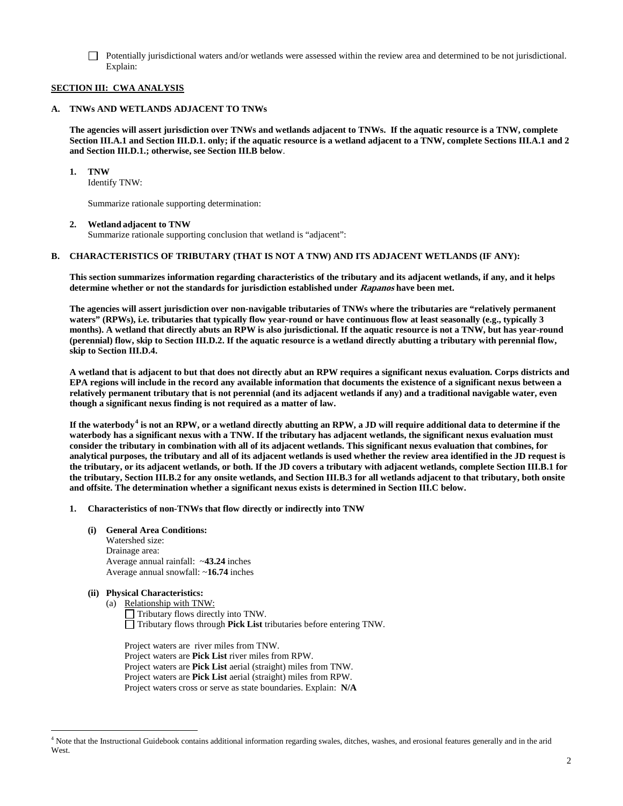Potentially jurisdictional waters and/or wetlands were assessed within the review area and determined to be not jurisdictional. Explain:

# **SECTION III: CWA ANALYSIS**

### **A. TNWs AND WETLANDS ADJACENT TO TNWs**

**The agencies will assert jurisdiction over TNWs and wetlands adjacent to TNWs. If the aquatic resource is a TNW, complete Section III.A.1 and Section III.D.1. only; if the aquatic resource is a wetland adjacent to a TNW, complete Sections III.A.1 and 2 and Section III.D.1.; otherwise, see Section III.B below**.

**1. TNW** 

Identify TNW:

Summarize rationale supporting determination:

### **2. Wetland adjacent to TNW**

Summarize rationale supporting conclusion that wetland is "adjacent":

### **B. CHARACTERISTICS OF TRIBUTARY (THAT IS NOT A TNW) AND ITS ADJACENT WETLANDS (IF ANY):**

**This section summarizes information regarding characteristics of the tributary and its adjacent wetlands, if any, and it helps determine whether or not the standards for jurisdiction established under Rapanos have been met.** 

**The agencies will assert jurisdiction over non-navigable tributaries of TNWs where the tributaries are "relatively permanent waters" (RPWs), i.e. tributaries that typically flow year-round or have continuous flow at least seasonally (e.g., typically 3 months). A wetland that directly abuts an RPW is also jurisdictional. If the aquatic resource is not a TNW, but has year-round (perennial) flow, skip to Section III.D.2. If the aquatic resource is a wetland directly abutting a tributary with perennial flow, skip to Section III.D.4.** 

**A wetland that is adjacent to but that does not directly abut an RPW requires a significant nexus evaluation. Corps districts and EPA regions will include in the record any available information that documents the existence of a significant nexus between a relatively permanent tributary that is not perennial (and its adjacent wetlands if any) and a traditional navigable water, even though a significant nexus finding is not required as a matter of law.**

**If the waterbody[4](#page-1-0) is not an RPW, or a wetland directly abutting an RPW, a JD will require additional data to determine if the waterbody has a significant nexus with a TNW. If the tributary has adjacent wetlands, the significant nexus evaluation must consider the tributary in combination with all of its adjacent wetlands. This significant nexus evaluation that combines, for analytical purposes, the tributary and all of its adjacent wetlands is used whether the review area identified in the JD request is the tributary, or its adjacent wetlands, or both. If the JD covers a tributary with adjacent wetlands, complete Section III.B.1 for the tributary, Section III.B.2 for any onsite wetlands, and Section III.B.3 for all wetlands adjacent to that tributary, both onsite and offsite. The determination whether a significant nexus exists is determined in Section III.C below.**

### **1. Characteristics of non-TNWs that flow directly or indirectly into TNW**

**(i) General Area Conditions:**

Watershed size: Drainage area: Average annual rainfall: ~**43.24** inches Average annual snowfall: ~**16.74** inches

# **(ii) Physical Characteristics:**

- (a) Relationship with TNW:
	- Tributary flows directly into TNW. Tributary flows through **Pick List** tributaries before entering TNW.

Project waters are river miles from TNW. Project waters are **Pick List** river miles from RPW. Project waters are **Pick List** aerial (straight) miles from TNW. Project waters are **Pick List** aerial (straight) miles from RPW. Project waters cross or serve as state boundaries. Explain: **N/A**

<span id="page-1-0"></span> <sup>4</sup> Note that the Instructional Guidebook contains additional information regarding swales, ditches, washes, and erosional features generally and in the arid West.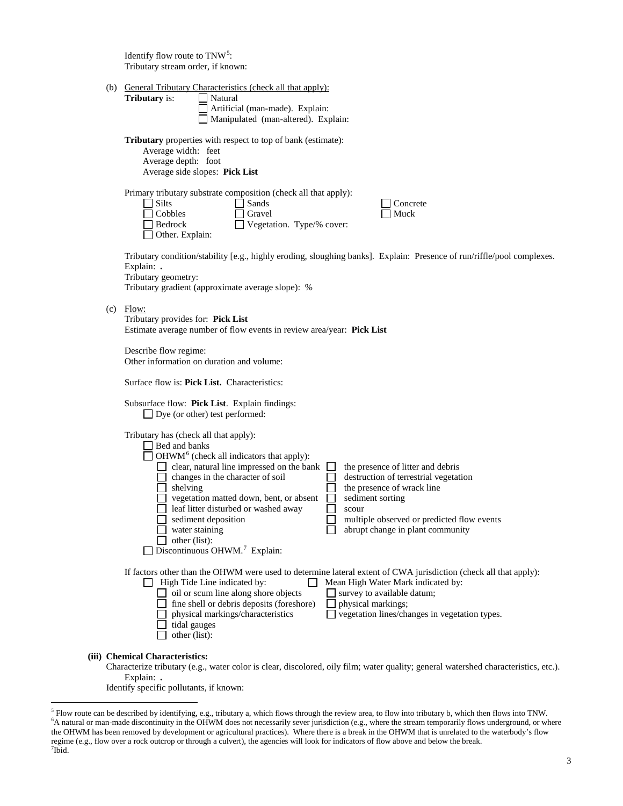Identify flow route to  $TNW<sup>5</sup>$  $TNW<sup>5</sup>$  $TNW<sup>5</sup>$ : Tributary stream order, if known:

| (b) General Tributary Characteristics (check all that apply): |
|---------------------------------------------------------------|
|---------------------------------------------------------------|

| (b) | General Tributary Characteristics (check all that apply):<br><b>Tributary</b> is:<br>Natural<br>Artificial (man-made). Explain:<br>Manipulated (man-altered). Explain:                                                                                                                                                                                                                                                                                                                                                                                                                                                           |
|-----|----------------------------------------------------------------------------------------------------------------------------------------------------------------------------------------------------------------------------------------------------------------------------------------------------------------------------------------------------------------------------------------------------------------------------------------------------------------------------------------------------------------------------------------------------------------------------------------------------------------------------------|
|     | <b>Tributary</b> properties with respect to top of bank (estimate):<br>Average width: feet<br>Average depth: foot<br>Average side slopes: Pick List                                                                                                                                                                                                                                                                                                                                                                                                                                                                              |
|     | Primary tributary substrate composition (check all that apply):<br>Silts<br>Sands<br>Concrete<br>Cobbles<br>Gravel<br>Muck<br>Vegetation. Type/% cover:<br>Bedrock<br>Other. Explain:                                                                                                                                                                                                                                                                                                                                                                                                                                            |
|     | Tributary condition/stability [e.g., highly eroding, sloughing banks]. Explain: Presence of run/riffle/pool complexes.<br>Explain: .<br>Tributary geometry:<br>Tributary gradient (approximate average slope): %                                                                                                                                                                                                                                                                                                                                                                                                                 |
|     | $(c)$ Flow:<br>Tributary provides for: Pick List<br>Estimate average number of flow events in review area/year: Pick List                                                                                                                                                                                                                                                                                                                                                                                                                                                                                                        |
|     | Describe flow regime:<br>Other information on duration and volume:                                                                                                                                                                                                                                                                                                                                                                                                                                                                                                                                                               |
|     | Surface flow is: <b>Pick List.</b> Characteristics:                                                                                                                                                                                                                                                                                                                                                                                                                                                                                                                                                                              |
|     | Subsurface flow: Pick List. Explain findings:<br>$\Box$ Dye (or other) test performed:                                                                                                                                                                                                                                                                                                                                                                                                                                                                                                                                           |
|     | Tributary has (check all that apply):<br>Bed and banks<br>OHWM <sup>6</sup> (check all indicators that apply):<br>clear, natural line impressed on the bank<br>the presence of litter and debris<br>changes in the character of soil<br>destruction of terrestrial vegetation<br>the presence of wrack line<br>shelving<br>vegetation matted down, bent, or absent<br>sediment sorting<br>leaf litter disturbed or washed away<br>scour<br>sediment deposition<br>multiple observed or predicted flow events<br>abrupt change in plant community<br>water staining<br>other (list):<br>Discontinuous OHWM. <sup>7</sup> Explain: |
|     | If factors other than the OHWM were used to determine lateral extent of CWA jurisdiction (check all that apply):<br>High Tide Line indicated by:<br>Mean High Water Mark indicated by:<br>oil or scum line along shore objects<br>survey to available datum;<br>fine shell or debris deposits (foreshore)<br>physical markings;<br>physical markings/characteristics<br>vegetation lines/changes in vegetation types.<br>tidal gauges<br>other (list):                                                                                                                                                                           |
|     | (iii) Chemical Characteristics:<br>Characterize tributary (e.g., water color is clear, discolored, oily film; water quality; general watershed characteristics, etc.).<br>Explain: .                                                                                                                                                                                                                                                                                                                                                                                                                                             |

Identify specific pollutants, if known:

<span id="page-2-2"></span><span id="page-2-1"></span><span id="page-2-0"></span><sup>&</sup>lt;sup>5</sup> Flow route can be described by identifying, e.g., tributary a, which flows through the review area, to flow into tributary b, which then flows into TNW.<br><sup>6</sup>A natural or man-made discontinuity in the OHWM does not neces the OHWM has been removed by development or agricultural practices). Where there is a break in the OHWM that is unrelated to the waterbody's flow regime (e.g., flow over a rock outcrop or through a culvert), the agencies will look for indicators of flow above and below the break. <sup>7</sup>  $7$ Ibid.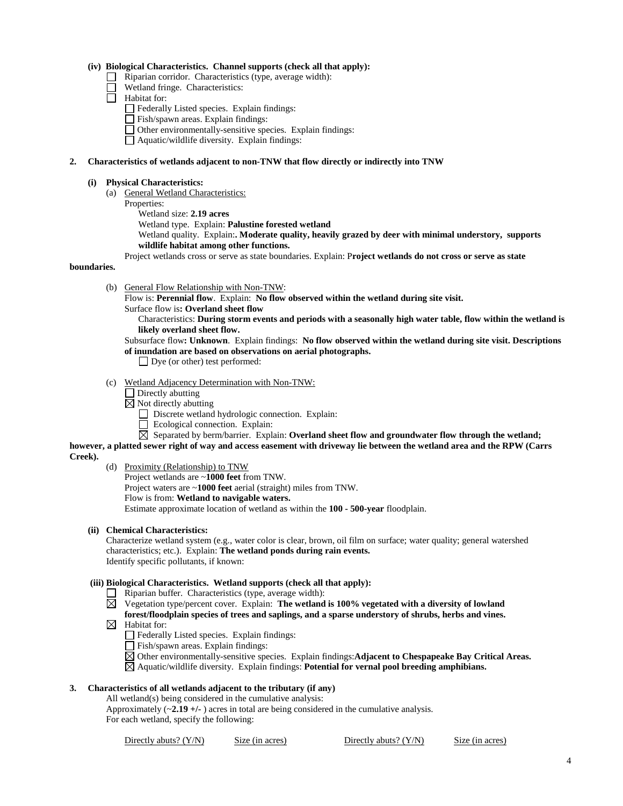### **(iv) Biological Characteristics. Channel supports (check all that apply):**

- Riparian corridor. Characteristics (type, average width):  $\Box$
- Wetland fringe. Characteristics:
- $\Box$  Habitat for:
	- Federally Listed species. Explain findings:
	- Fish/spawn areas. Explain findings:
	- Other environmentally-sensitive species. Explain findings:
	- Aquatic/wildlife diversity. Explain findings:

#### **2. Characteristics of wetlands adjacent to non-TNW that flow directly or indirectly into TNW**

#### **(i) Physical Characteristics:**

- (a) General Wetland Characteristics:
	- Properties:
		- Wetland size: **2.19 acres**
		- Wetland type. Explain: **Palustine forested wetland**
		- Wetland quality. Explain:**. Moderate quality, heavily grazed by deer with minimal understory, supports wildlife habitat among other functions.**

Project wetlands cross or serve as state boundaries. Explain: P**roject wetlands do not cross or serve as state** 

### **boundaries.**

(b) General Flow Relationship with Non-TNW:

Flow is: **Perennial flow**. Explain: **No flow observed within the wetland during site visit.**

Surface flow is**: Overland sheet flow**

Characteristics: **During storm events and periods with a seasonally high water table, flow within the wetland is likely overland sheet flow.**

Subsurface flow**: Unknown**. Explain findings: **No flow observed within the wetland during site visit. Descriptions of inundation are based on observations on aerial photographs.**

- Dye (or other) test performed:
- (c) Wetland Adjacency Determination with Non-TNW:
	- $\Box$  Directly abutting
	- $\boxtimes$  Not directly abutting

Discrete wetland hydrologic connection. Explain:

- Ecological connection. Explain:
- $\boxtimes$  Separated by berm/barrier. Explain: **Overland sheet flow and groundwater flow through the wetland;**

**however, a platted sewer right of way and access easement with driveway lie between the wetland area and the RPW (Carrs Creek).**

- (d) Proximity (Relationship) to TNW
	- Project wetlands are ~**1000 feet** from TNW.
	- Project waters are ~**1000 feet** aerial (straight) miles from TNW.
	- Flow is from: **Wetland to navigable waters.**

Estimate approximate location of wetland as within the **100 - 500-year** floodplain.

# **(ii) Chemical Characteristics:**

Characterize wetland system (e.g., water color is clear, brown, oil film on surface; water quality; general watershed characteristics; etc.). Explain: **The wetland ponds during rain events.** Identify specific pollutants, if known:

### **(iii) Biological Characteristics. Wetland supports (check all that apply):**

- $\Box$  Riparian buffer. Characteristics (type, average width):
- Vegetation type/percent cover. Explain: **The wetland is 100% vegetated with a diversity of lowland forest/floodplain species of trees and saplings, and a sparse understory of shrubs, herbs and vines.**
- $\boxtimes$  Habitat for:
	- Federally Listed species. Explain findings:
	- Fish/spawn areas. Explain findings:

Other environmentally-sensitive species. Explain findings:**Adjacent to Chespapeake Bay Critical Areas.** Aquatic/wildlife diversity. Explain findings: **Potential for vernal pool breeding amphibians.**

# **3. Characteristics of all wetlands adjacent to the tributary (if any)**

All wetland(s) being considered in the cumulative analysis:

Approximately  $(\sim 2.19 + \cdot)$  acres in total are being considered in the cumulative analysis. For each wetland, specify the following:

| Directly abuts? (Y/N) | Size (in acres) | Directly abuts? $(Y/N)$ | Size (in acres) |
|-----------------------|-----------------|-------------------------|-----------------|
|-----------------------|-----------------|-------------------------|-----------------|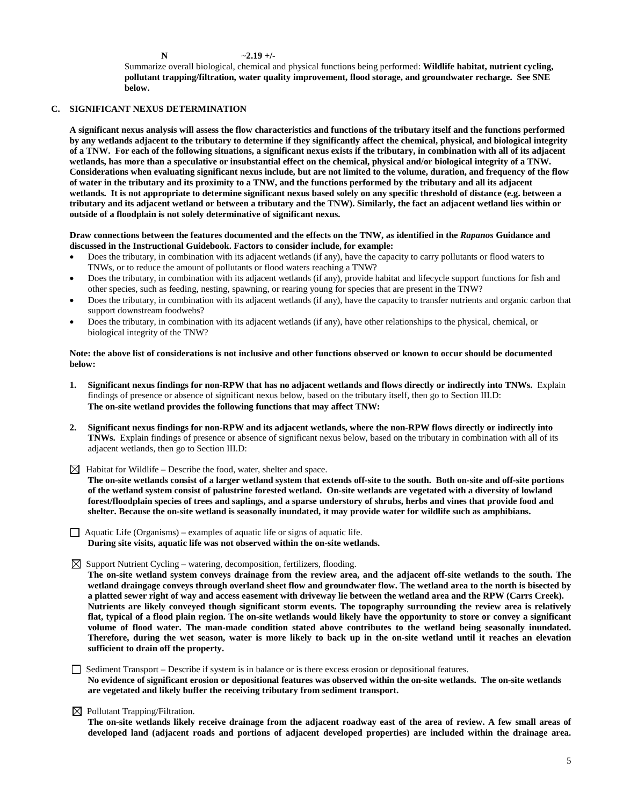**N** ~**2.19 +/-**

Summarize overall biological, chemical and physical functions being performed: **Wildlife habitat, nutrient cycling, pollutant trapping/filtration, water quality improvement, flood storage, and groundwater recharge. See SNE below.**

## **C. SIGNIFICANT NEXUS DETERMINATION**

**A significant nexus analysis will assess the flow characteristics and functions of the tributary itself and the functions performed by any wetlands adjacent to the tributary to determine if they significantly affect the chemical, physical, and biological integrity of a TNW. For each of the following situations, a significant nexus exists if the tributary, in combination with all of its adjacent wetlands, has more than a speculative or insubstantial effect on the chemical, physical and/or biological integrity of a TNW. Considerations when evaluating significant nexus include, but are not limited to the volume, duration, and frequency of the flow of water in the tributary and its proximity to a TNW, and the functions performed by the tributary and all its adjacent wetlands. It is not appropriate to determine significant nexus based solely on any specific threshold of distance (e.g. between a tributary and its adjacent wetland or between a tributary and the TNW). Similarly, the fact an adjacent wetland lies within or outside of a floodplain is not solely determinative of significant nexus.** 

### **Draw connections between the features documented and the effects on the TNW, as identified in the** *Rapanos* **Guidance and discussed in the Instructional Guidebook. Factors to consider include, for example:**

- Does the tributary, in combination with its adjacent wetlands (if any), have the capacity to carry pollutants or flood waters to TNWs, or to reduce the amount of pollutants or flood waters reaching a TNW?
- Does the tributary, in combination with its adjacent wetlands (if any), provide habitat and lifecycle support functions for fish and other species, such as feeding, nesting, spawning, or rearing young for species that are present in the TNW?
- Does the tributary, in combination with its adjacent wetlands (if any), have the capacity to transfer nutrients and organic carbon that support downstream foodwebs?
- Does the tributary, in combination with its adjacent wetlands (if any), have other relationships to the physical, chemical, or biological integrity of the TNW?

### **Note: the above list of considerations is not inclusive and other functions observed or known to occur should be documented below:**

- **1. Significant nexus findings for non-RPW that has no adjacent wetlands and flows directly or indirectly into TNWs.** Explain findings of presence or absence of significant nexus below, based on the tributary itself, then go to Section III.D: **The on-site wetland provides the following functions that may affect TNW:**
- **2. Significant nexus findings for non-RPW and its adjacent wetlands, where the non-RPW flows directly or indirectly into TNWs.** Explain findings of presence or absence of significant nexus below, based on the tributary in combination with all of its adjacent wetlands, then go to Section III.D:
- $\boxtimes$  Habitat for Wildlife Describe the food, water, shelter and space.

**The on-site wetlands consist of a larger wetland system that extends off-site to the south. Both on-site and off-site portions of the wetland system consist of palustrine forested wetland. On-site wetlands are vegetated with a diversity of lowland forest/floodplain species of trees and saplings, and a sparse understory of shrubs, herbs and vines that provide food and shelter. Because the on-site wetland is seasonally inundated, it may provide water for wildlife such as amphibians.**

- $\Box$  Aquatic Life (Organisms) examples of aquatic life or signs of aquatic life. **During site visits, aquatic life was not observed within the on-site wetlands.**
- $\boxtimes$  Support Nutrient Cycling watering, decomposition, fertilizers, flooding.

**The on-site wetland system conveys drainage from the review area, and the adjacent off-site wetlands to the south. The wetland draingage conveys through overland sheet flow and groundwater flow. The wetland area to the north is bisected by a platted sewer right of way and access easement with driveway lie between the wetland area and the RPW (Carrs Creek). Nutrients are likely conveyed though significant storm events. The topography surrounding the review area is relatively flat, typical of a flood plain region. The on-site wetlands would likely have the opportunity to store or convey a significant volume of flood water. The man-made condition stated above contributes to the wetland being seasonally inundated. Therefore, during the wet season, water is more likely to back up in the on-site wetland until it reaches an elevation sufficient to drain off the property.**

- Sediment Transport Describe if system is in balance or is there excess erosion or depositional features. **No evidence of significant erosion or depositional features was observed within the on-site wetlands. The on-site wetlands are vegetated and likely buffer the receiving tributary from sediment transport.**
- $\boxtimes$  Pollutant Trapping/Filtration.

**The on-site wetlands likely receive drainage from the adjacent roadway east of the area of review. A few small areas of developed land (adjacent roads and portions of adjacent developed properties) are included within the drainage area.**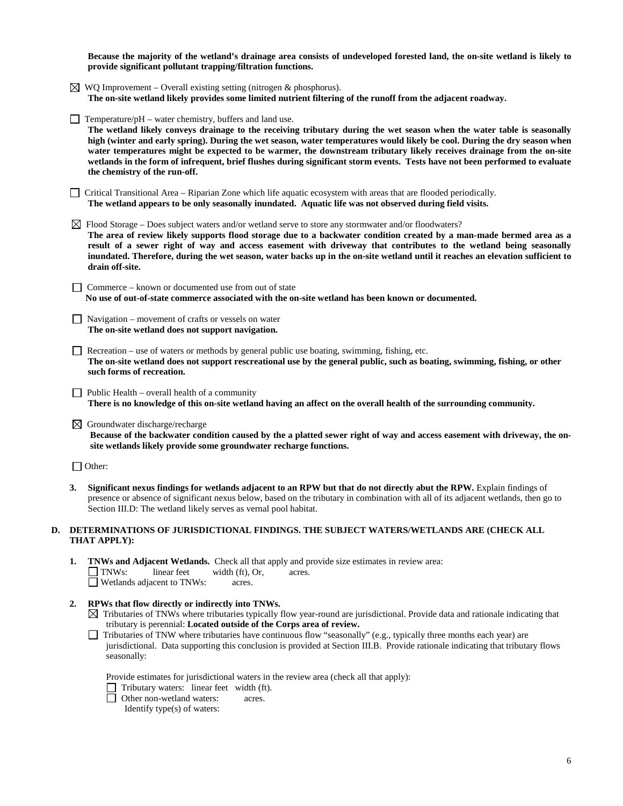**Because the majority of the wetland's drainage area consists of undeveloped forested land, the on-site wetland is likely to provide significant pollutant trapping/filtration functions.** 

- $\boxtimes$  WQ Improvement Overall existing setting (nitrogen & phosphorus). **The on-site wetland likely provides some limited nutrient filtering of the runoff from the adjacent roadway.**
- $\Box$  Temperature/pH water chemistry, buffers and land use. **The wetland likely conveys drainage to the receiving tributary during the wet season when the water table is seasonally high (winter and early spring). During the wet season, water temperatures would likely be cool. During the dry season when water temperatures might be expected to be warmer, the downstream tributary likely receives drainage from the on-site wetlands in the form of infrequent, brief flushes during significant storm events. Tests have not been performed to evaluate the chemistry of the run-off.**
- Critical Transitional Area Riparian Zone which life aquatic ecosystem with areas that are flooded periodically. **The wetland appears to be only seasonally inundated. Aquatic life was not observed during field visits.**
- $\boxtimes$  Flood Storage Does subject waters and/or wetland serve to store any stormwater and/or floodwaters? **The area of review likely supports flood storage due to a backwater condition created by a man-made bermed area as a result of a sewer right of way and access easement with driveway that contributes to the wetland being seasonally inundated. Therefore, during the wet season, water backs up in the on-site wetland until it reaches an elevation sufficient to**
- $\Box$  Commerce known or documented use from out of state  **No use of out-of-state commerce associated with the on-site wetland has been known or documented.**
- $\Box$  Navigation movement of crafts or vessels on water **The on-site wetland does not support navigation.**
- Recreation use of waters or methods by general public use boating, swimming, fishing, etc. **The on-site wetland does not support rescreational use by the general public, such as boating, swimming, fishing, or other such forms of recreation.**
- $\Box$  Public Health overall health of a community **There is no knowledge of this on-site wetland having an affect on the overall health of the surrounding community.**
- $\boxtimes$  Groundwater discharge/recharge

**drain off-site.** 

**Because of the backwater condition caused by the a platted sewer right of way and access easement with driveway, the onsite wetlands likely provide some groundwater recharge functions.**

□ Other:

**3. Significant nexus findings for wetlands adjacent to an RPW but that do not directly abut the RPW.** Explain findings of presence or absence of significant nexus below, based on the tributary in combination with all of its adjacent wetlands, then go to Section III.D: The wetland likely serves as vernal pool habitat.

# **D. DETERMINATIONS OF JURISDICTIONAL FINDINGS. THE SUBJECT WATERS/WETLANDS ARE (CHECK ALL THAT APPLY):**

- **1. TNWs and Adjacent Wetlands.** Check all that apply and provide size estimates in review area: TNWs: linear feet width (ft), Or, acres. Wetlands adjacent to TNWs: acres.
- **2. RPWs that flow directly or indirectly into TNWs.**
	- $\boxtimes$  Tributaries of TNWs where tributaries typically flow year-round are jurisdictional. Provide data and rationale indicating that tributary is perennial: **Located outside of the Corps area of review.**
	- Tributaries of TNW where tributaries have continuous flow "seasonally" (e.g., typically three months each year) are jurisdictional. Data supporting this conclusion is provided at Section III.B. Provide rationale indicating that tributary flows seasonally:

Provide estimates for jurisdictional waters in the review area (check all that apply):

- Tributary waters: linear feet width (ft).
- □ Other non-wetland waters: acres.

Identify type(s) of waters: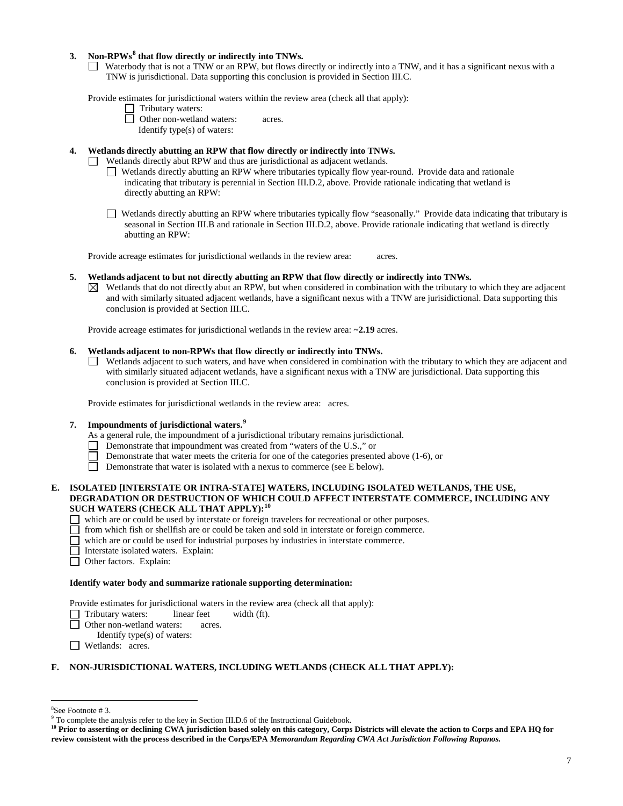# **3. Non-RPWs[8](#page-6-0) that flow directly or indirectly into TNWs.**

Waterbody that is not a TNW or an RPW, but flows directly or indirectly into a TNW, and it has a significant nexus with a TNW is jurisdictional. Data supporting this conclusion is provided in Section III.C.

Provide estimates for jurisdictional waters within the review area (check all that apply):

- **1** Tributary waters:
- **D** Other non-wetland waters: acres.

Identify type(s) of waters:

# **4. Wetlands directly abutting an RPW that flow directly or indirectly into TNWs.**

Wetlands directly abut RPW and thus are jurisdictional as adjacent wetlands.

- Wetlands directly abutting an RPW where tributaries typically flow year-round. Provide data and rationale indicating that tributary is perennial in Section III.D.2, above. Provide rationale indicating that wetland is directly abutting an RPW:
- Wetlands directly abutting an RPW where tributaries typically flow "seasonally." Provide data indicating that tributary is seasonal in Section III.B and rationale in Section III.D.2, above. Provide rationale indicating that wetland is directly abutting an RPW:

Provide acreage estimates for jurisdictional wetlands in the review area: acres.

### **5. Wetlands adjacent to but not directly abutting an RPW that flow directly or indirectly into TNWs.**

 $\boxtimes$  Wetlands that do not directly abut an RPW, but when considered in combination with the tributary to which they are adjacent and with similarly situated adjacent wetlands, have a significant nexus with a TNW are jurisidictional. Data supporting this conclusion is provided at Section III.C.

Provide acreage estimates for jurisdictional wetlands in the review area: **~2.19** acres.

## **6. Wetlands adjacent to non-RPWs that flow directly or indirectly into TNWs.**

Wetlands adjacent to such waters, and have when considered in combination with the tributary to which they are adjacent and with similarly situated adjacent wetlands, have a significant nexus with a TNW are jurisdictional. Data supporting this conclusion is provided at Section III.C.

Provide estimates for jurisdictional wetlands in the review area:acres.

## **7. Impoundments of jurisdictional waters. [9](#page-6-1)**

- As a general rule, the impoundment of a jurisdictional tributary remains jurisdictional.
- Demonstrate that impoundment was created from "waters of the U.S.," or
- Demonstrate that water meets the criteria for one of the categories presented above (1-6), or
- Ħ. Demonstrate that water is isolated with a nexus to commerce (see E below).
- **E. ISOLATED [INTERSTATE OR INTRA-STATE] WATERS, INCLUDING ISOLATED WETLANDS, THE USE, DEGRADATION OR DESTRUCTION OF WHICH COULD AFFECT INTERSTATE COMMERCE, INCLUDING ANY SUCH WATERS (CHECK ALL THAT APPLY):[10](#page-6-2)**
	- which are or could be used by interstate or foreign travelers for recreational or other purposes.
	- $\Box$  from which fish or shellfish are or could be taken and sold in interstate or foreign commerce.
	- which are or could be used for industrial purposes by industries in interstate commerce.
	- Interstate isolated waters.Explain:
	- □ Other factors. Explain:

### **Identify water body and summarize rationale supporting determination:**

Provide estimates for jurisdictional waters in the review area (check all that apply):

- Tributary waters: linear feet width (ft).
- □ Other non-wetland waters: acres.
	- Identify type(s) of waters:
- **I** Wetlands: acres.

# **F. NON-JURISDICTIONAL WATERS, INCLUDING WETLANDS (CHECK ALL THAT APPLY):**

 <sup>8</sup>

<span id="page-6-1"></span><span id="page-6-0"></span> ${}^{8}$ See Footnote # 3.<br>9 To complete the analysis refer to the key in Section III.D.6 of the Instructional Guidebook.

<span id="page-6-2"></span><sup>&</sup>lt;sup>10</sup> Prior to asserting or declining CWA jurisdiction based solely on this category, Corps Districts will elevate the action to Corps and EPA HQ for **review consistent with the process described in the Corps/EPA** *Memorandum Regarding CWA Act Jurisdiction Following Rapanos.*